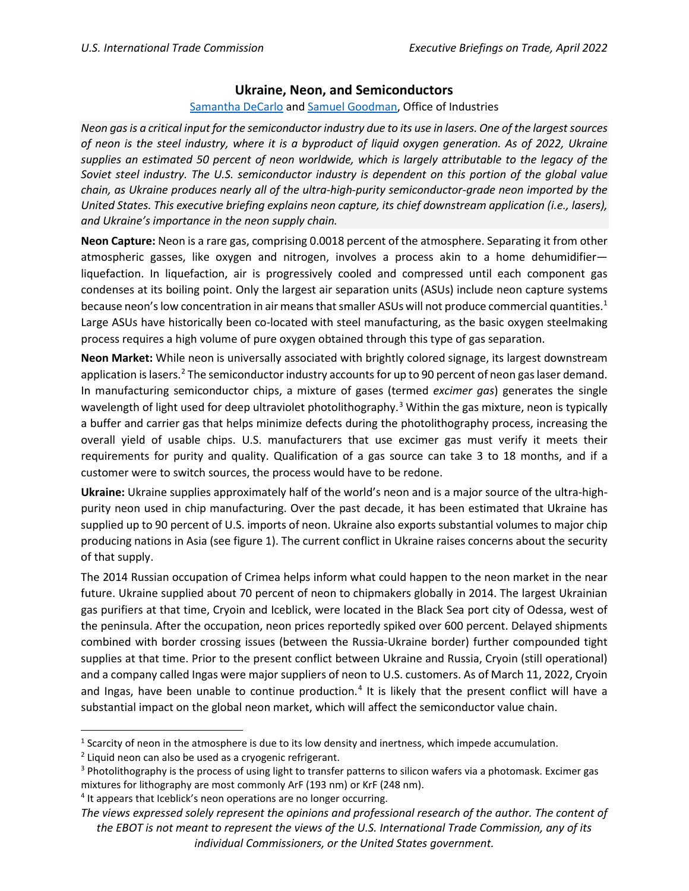## **Ukraine, Neon, and Semiconductors**

## [Samantha DeCarlo](mailto:%20samantha.decarlo@usitc.gov) an[d Samuel Goodman,](mailto:samuel.goodman@usitc.gov) Office of Industries

*Neon gas is a critical input for the semiconductor industry due to its use in lasers. One of the largest sources of neon is the steel industry, where it is a byproduct of liquid oxygen generation. As of 2022, Ukraine supplies an estimated 50 percent of neon worldwide, which is largely attributable to the legacy of the Soviet steel industry. The U.S. semiconductor industry is dependent on this portion of the global value chain, as Ukraine produces nearly all of the ultra-high-purity semiconductor-grade neon imported by the United States. This executive briefing explains neon capture, its chief downstream application (i.e., lasers), and Ukraine's importance in the neon supply chain.*

**Neon Capture:** Neon is a rare gas, comprising 0.0018 percent of the atmosphere. Separating it from other atmospheric gasses, like oxygen and nitrogen, involves a process akin to a home dehumidifier liquefaction. In liquefaction, air is progressively cooled and compressed until each component gas condenses at its boiling point. Only the largest air separation units (ASUs) include neon capture systems because neon's low concentration in air means that smaller ASUs will not produce commercial quantities.<sup>[1](#page-0-0)</sup> Large ASUs have historically been co-located with steel manufacturing, as the basic oxygen steelmaking process requires a high volume of pure oxygen obtained through this type of gas separation.

**Neon Market:** While neon is universally associated with brightly colored signage, its largest downstream application is lasers.<sup>[2](#page-0-1)</sup> The semiconductor industry accounts for up to 90 percent of neon gas laser demand. In manufacturing semiconductor chips, a mixture of gases (termed *excimer gas*) generates the single wavelength of light used for deep ultraviolet photolithography.<sup>[3](#page-0-2)</sup> Within the gas mixture, neon is typically a buffer and carrier gas that helps minimize defects during the photolithography process, increasing the overall yield of usable chips. U.S. manufacturers that use excimer gas must verify it meets their requirements for purity and quality. Qualification of a gas source can take 3 to 18 months, and if a customer were to switch sources, the process would have to be redone.

**Ukraine:** Ukraine supplies approximately half of the world's neon and is a major source of the ultra-highpurity neon used in chip manufacturing. Over the past decade, it has been estimated that Ukraine has supplied up to 90 percent of U.S. imports of neon. Ukraine also exports substantial volumes to major chip producing nations in Asia (see figure 1). The current conflict in Ukraine raises concerns about the security of that supply.

The 2014 Russian occupation of Crimea helps inform what could happen to the neon market in the near future. Ukraine supplied about 70 percent of neon to chipmakers globally in 2014. The largest Ukrainian gas purifiers at that time, Cryoin and Iceblick, were located in the Black Sea port city of Odessa, west of the peninsula. After the occupation, neon prices reportedly spiked over 600 percent. Delayed shipments combined with border crossing issues (between the Russia-Ukraine border) further compounded tight supplies at that time. Prior to the present conflict between Ukraine and Russia, Cryoin (still operational) and a company called Ingas were major suppliers of neon to U.S. customers. As of March 11, 2022, Cryoin and Ingas, have been unable to continue production.<sup>[4](#page-0-3)</sup> It is likely that the present conflict will have a substantial impact on the global neon market, which will affect the semiconductor value chain.

<span id="page-0-0"></span><sup>&</sup>lt;sup>1</sup> Scarcity of neon in the atmosphere is due to its low density and inertness, which impede accumulation.

<span id="page-0-1"></span><sup>&</sup>lt;sup>2</sup> Liquid neon can also be used as a cryogenic refrigerant.

<span id="page-0-2"></span><sup>&</sup>lt;sup>3</sup> Photolithography is the process of using light to transfer patterns to silicon wafers via a photomask. Excimer gas mixtures for lithography are most commonly ArF (193 nm) or KrF (248 nm).

<span id="page-0-3"></span><sup>&</sup>lt;sup>4</sup> It appears that Iceblick's neon operations are no longer occurring.

*The views expressed solely represent the opinions and professional research of the author. The content of the EBOT is not meant to represent the views of the U.S. International Trade Commission, any of its individual Commissioners, or the United States government.*